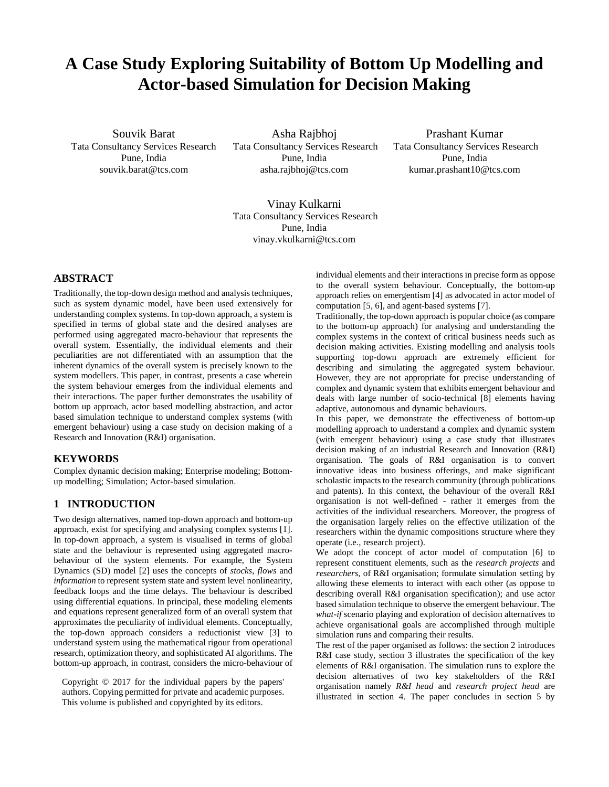# **A Case Study Exploring Suitability of Bottom Up Modelling and Actor-based Simulation for Decision Making**

Souvik Barat Tata Consultancy Services Research Pune, India souvik.barat@tcs.com

Asha Rajbhoj Tata Consultancy Services Research Pune, India asha.rajbhoj@tcs.com

Prashant Kumar Tata Consultancy Services Research Pune, India kumar.prashant10@tcs.com

Vinay Kulkarni Tata Consultancy Services Research Pune, India vinay.vkulkarni@tcs.com

# **ABSTRACT**

Traditionally, the top-down design method and analysis techniques, such as system dynamic model, have been used extensively for understanding complex systems. In top-down approach, a system is specified in terms of global state and the desired analyses are performed using aggregated macro-behaviour that represents the overall system. Essentially, the individual elements and their peculiarities are not differentiated with an assumption that the inherent dynamics of the overall system is precisely known to the system modellers. This paper, in contrast, presents a case wherein the system behaviour emerges from the individual elements and their interactions. The paper further demonstrates the usability of bottom up approach, actor based modelling abstraction, and actor based simulation technique to understand complex systems (with emergent behaviour) using a case study on decision making of a Research and Innovation (R&I) organisation.

## **KEYWORDS**

Complex dynamic decision making; Enterprise modeling; Bottomup modelling; Simulation; Actor-based simulation.

## **1 INTRODUCTION**

Two design alternatives, named top-down approach and bottom-up approach, exist for specifying and analysing complex systems [1]. In top-down approach, a system is visualised in terms of global state and the behaviour is represented using aggregated macrobehaviour of the system elements. For example, the System Dynamics (SD) model [2] uses the concepts of *stocks*, *flows* and *information* to represent system state and system level nonlinearity, feedback loops and the time delays. The behaviour is described using differential equations. In principal, these modeling elements and equations represent generalized form of an overall system that approximates the peculiarity of individual elements. Conceptually, the top-down approach considers a reductionist view [3] to understand system using the mathematical rigour from operational research, optimization theory, and sophisticated AI algorithms. The bottom-up approach, in contrast, considers the micro-behaviour of

Copyright © 2017 for the individual papers by the papers' authors. Copying permitted for private and academic purposes. This volume is published and copyrighted by its editors.

individual elements and their interactions in precise form as oppose to the overall system behaviour. Conceptually, the bottom-up approach relies on emergentism [4] as advocated in actor model of computation [5, 6], and agent-based systems [7].

Traditionally, the top-down approach is popular choice (as compare to the bottom-up approach) for analysing and understanding the complex systems in the context of critical business needs such as decision making activities. Existing modelling and analysis tools supporting top-down approach are extremely efficient for describing and simulating the aggregated system behaviour. However, they are not appropriate for precise understanding of complex and dynamic system that exhibits emergent behaviour and deals with large number of socio-technical [8] elements having adaptive, autonomous and dynamic behaviours.

In this paper, we demonstrate the effectiveness of bottom-up modelling approach to understand a complex and dynamic system (with emergent behaviour) using a case study that illustrates decision making of an industrial Research and Innovation (R&I) organisation. The goals of R&I organisation is to convert innovative ideas into business offerings, and make significant scholastic impacts to the research community (through publications and patents). In this context, the behaviour of the overall R&I organisation is not well-defined - rather it emerges from the activities of the individual researchers. Moreover, the progress of the organisation largely relies on the effective utilization of the researchers within the dynamic compositions structure where they operate (i.e., research project).

We adopt the concept of actor model of computation [6] to represent constituent elements, such as the *research projects* and *researchers,* of R&I organisation; formulate simulation setting by allowing these elements to interact with each other (as oppose to describing overall R&I organisation specification); and use actor based simulation technique to observe the emergent behaviour. The *what-if* scenario playing and exploration of decision alternatives to achieve organisational goals are accomplished through multiple simulation runs and comparing their results.

The rest of the paper organised as follows: the section 2 introduces R&I case study, section 3 illustrates the specification of the key elements of R&I organisation. The simulation runs to explore the decision alternatives of two key stakeholders of the R&I organisation namely *R&I head* and *research project head* are illustrated in section 4. The paper concludes in section 5 by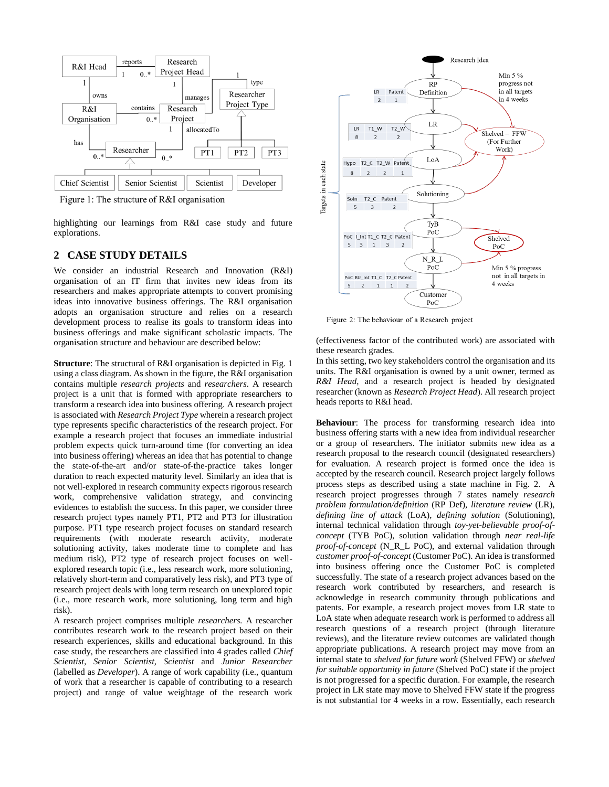

Figure 1: The structure of R&I organisation

highlighting our learnings from R&I case study and future explorations.

## **2 CASE STUDY DETAILS**

We consider an industrial Research and Innovation (R&I) organisation of an IT firm that invites new ideas from its researchers and makes appropriate attempts to convert promising ideas into innovative business offerings. The R&I organisation adopts an organisation structure and relies on a research development process to realise its goals to transform ideas into business offerings and make significant scholastic impacts. The organisation structure and behaviour are described below:

**Structure**: The structural of R&I organisation is depicted in Fig. 1 using a class diagram. As shown in the figure, the R&I organisation contains multiple *research projects* and *researchers*. A research project is a unit that is formed with appropriate researchers to transform a research idea into business offering. A research project is associated with *Research Project Type* wherein a research project type represents specific characteristics of the research project. For example a research project that focuses an immediate industrial problem expects quick turn-around time (for converting an idea into business offering) whereas an idea that has potential to change the state-of-the-art and/or state-of-the-practice takes longer duration to reach expected maturity level. Similarly an idea that is not well-explored in research community expects rigorous research work, comprehensive validation strategy, and convincing evidences to establish the success. In this paper, we consider three research project types namely PT1, PT2 and PT3 for illustration purpose. PT1 type research project focuses on standard research requirements (with moderate research activity, moderate solutioning activity, takes moderate time to complete and has medium risk), PT2 type of research project focuses on wellexplored research topic (i.e., less research work, more solutioning, relatively short-term and comparatively less risk), and PT3 type of research project deals with long term research on unexplored topic (i.e., more research work, more solutioning, long term and high risk).

A research project comprises multiple *researchers.* A researcher contributes research work to the research project based on their research experiences, skills and educational background. In this case study, the researchers are classified into 4 grades called *Chief Scientist*, *Senior Scientist*, *Scientist* and *Junior Researcher* (labelled as *Developer*). A range of work capability (i.e., quantum of work that a researcher is capable of contributing to a research project) and range of value weightage of the research work



Figure 2: The behaviour of a Research project

(effectiveness factor of the contributed work) are associated with these research grades.

In this setting, two key stakeholders control the organisation and its units. The R&I organisation is owned by a unit owner, termed as *R&I Head*, and a research project is headed by designated researcher (known as *Research Project Head*). All research project heads reports to R&I head.

**Behaviour**: The process for transforming research idea into business offering starts with a new idea from individual researcher or a group of researchers. The initiator submits new idea as a research proposal to the research council (designated researchers) for evaluation. A research project is formed once the idea is accepted by the research council. Research project largely follows process steps as described using a state machine in Fig. 2. A research project progresses through 7 states namely *research problem formulation/definition* (RP Def), *literature review* (LR), *defining line of attack* (LoA), *defining solution* (Solutioning), internal technical validation through *toy-yet-believable proof-ofconcept* (TYB PoC), solution validation through *near real-life proof-of-concept* (N\_R\_L PoC), and external validation through *customer proof-of-concept* (Customer PoC). An idea is transformed into business offering once the Customer PoC is completed successfully. The state of a research project advances based on the research work contributed by researchers, and research is acknowledge in research community through publications and patents. For example, a research project moves from LR state to LoA state when adequate research work is performed to address all research questions of a research project (through literature reviews), and the literature review outcomes are validated though appropriate publications. A research project may move from an internal state to *shelved for future work* (Shelved FFW) or *shelved for suitable opportunity in future* (Shelved PoC) state if the project is not progressed for a specific duration. For example, the research project in LR state may move to Shelved FFW state if the progress is not substantial for 4 weeks in a row. Essentially, each research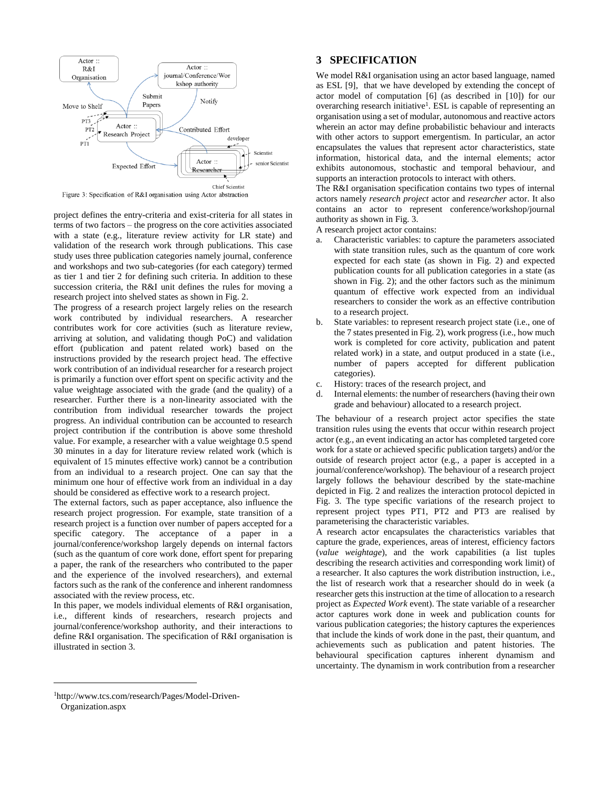

Figure 3: Specification of R&I organisation using Actor abstraction

project defines the entry-criteria and exist-criteria for all states in terms of two factors – the progress on the core activities associated with a state (e.g., literature review activity for LR state) and validation of the research work through publications. This case study uses three publication categories namely journal, conference and workshops and two sub-categories (for each category) termed as tier 1 and tier 2 for defining such criteria. In addition to these succession criteria, the R&I unit defines the rules for moving a research project into shelved states as shown in Fig. 2.

The progress of a research project largely relies on the research work contributed by individual researchers. A researcher contributes work for core activities (such as literature review, arriving at solution, and validating though PoC) and validation effort (publication and patent related work) based on the instructions provided by the research project head. The effective work contribution of an individual researcher for a research project is primarily a function over effort spent on specific activity and the value weightage associated with the grade (and the quality) of a researcher. Further there is a non-linearity associated with the contribution from individual researcher towards the project progress. An individual contribution can be accounted to research project contribution if the contribution is above some threshold value. For example, a researcher with a value weightage 0.5 spend 30 minutes in a day for literature review related work (which is equivalent of 15 minutes effective work) cannot be a contribution from an individual to a research project. One can say that the minimum one hour of effective work from an individual in a day should be considered as effective work to a research project.

The external factors, such as paper acceptance, also influence the research project progression. For example, state transition of a research project is a function over number of papers accepted for a specific category. The acceptance of a paper in a journal/conference/workshop largely depends on internal factors (such as the quantum of core work done, effort spent for preparing a paper, the rank of the researchers who contributed to the paper and the experience of the involved researchers), and external factors such as the rank of the conference and inherent randomness associated with the review process, etc.

In this paper, we models individual elements of R&I organisation, i.e., different kinds of researchers, research projects and journal/conference/workshop authority, and their interactions to define R&I organisation. The specification of R&I organisation is illustrated in section 3.

# **3 SPECIFICATION**

We model R&I organisation using an actor based language, named as ESL [9], that we have developed by extending the concept of actor model of computation [6] (as described in [10]) for our overarching research initiative<sup>1</sup>. ESL is capable of representing an organisation using a set of modular, autonomous and reactive actors wherein an actor may define probabilistic behaviour and interacts with other actors to support emergentism. In particular, an actor encapsulates the values that represent actor characteristics, state information, historical data, and the internal elements; actor exhibits autonomous, stochastic and temporal behaviour, and supports an interaction protocols to interact with others.

The R&I organisation specification contains two types of internal actors namely *research project* actor and *researcher* actor. It also contains an actor to represent conference/workshop/journal authority as shown in Fig. 3.

A research project actor contains:

- Characteristic variables: to capture the parameters associated with state transition rules, such as the quantum of core work expected for each state (as shown in Fig. 2) and expected publication counts for all publication categories in a state (as shown in Fig. 2); and the other factors such as the minimum quantum of effective work expected from an individual researchers to consider the work as an effective contribution to a research project.
- State variables: to represent research project state (i.e., one of the 7 states presented in Fig. 2), work progress (i.e., how much work is completed for core activity, publication and patent related work) in a state, and output produced in a state (i.e., number of papers accepted for different publication categories).
- c. History: traces of the research project, and
- d. Internal elements: the number of researchers (having their own grade and behaviour) allocated to a research project.

The behaviour of a research project actor specifies the state transition rules using the events that occur within research project actor (e.g., an event indicating an actor has completed targeted core work for a state or achieved specific publication targets) and/or the outside of research project actor (e.g., a paper is accepted in a journal/conference/workshop). The behaviour of a research project largely follows the behaviour described by the state-machine depicted in Fig. 2 and realizes the interaction protocol depicted in Fig. 3. The type specific variations of the research project to represent project types PT1, PT2 and PT3 are realised by parameterising the characteristic variables.

A research actor encapsulates the characteristics variables that capture the grade, experiences, areas of interest, efficiency factors (*value weightage*), and the work capabilities (a list tuples describing the research activities and corresponding work limit) of a researcher. It also captures the work distribution instruction, i.e., the list of research work that a researcher should do in week (a researcher gets this instruction at the time of allocation to a research project as *Expected Work* event). The state variable of a researcher actor captures work done in week and publication counts for various publication categories; the history captures the experiences that include the kinds of work done in the past, their quantum, and achievements such as publication and patent histories. The behavioural specification captures inherent dynamism and uncertainty. The dynamism in work contribution from a researcher

l

<sup>1</sup>http://www.tcs.com/research/Pages/Model-Driven-Organization.aspx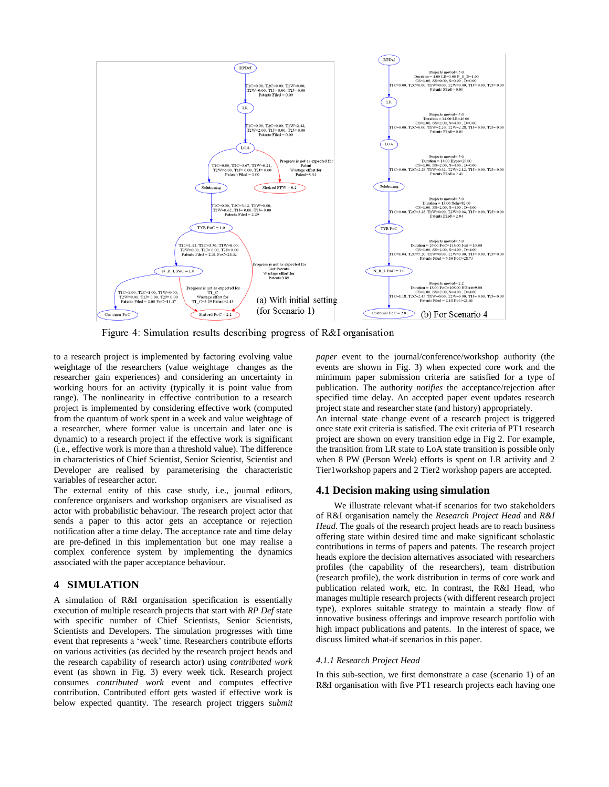

Figure 4: Simulation results describing progress of  $R&I$  organisation

to a research project is implemented by factoring evolving value weightage of the researchers (value weightage changes as the researcher gain experiences) and considering an uncertainty in working hours for an activity (typically it is point value from range). The nonlinearity in effective contribution to a research project is implemented by considering effective work (computed from the quantum of work spent in a week and value weightage of a researcher, where former value is uncertain and later one is dynamic) to a research project if the effective work is significant (i.e., effective work is more than a threshold value). The difference in characteristics of Chief Scientist, Senior Scientist, Scientist and Developer are realised by parameterising the characteristic variables of researcher actor.

The external entity of this case study, i.e., journal editors, conference organisers and workshop organisers are visualised as actor with probabilistic behaviour. The research project actor that sends a paper to this actor gets an acceptance or rejection notification after a time delay. The acceptance rate and time delay are pre-defined in this implementation but one may realise a complex conference system by implementing the dynamics associated with the paper acceptance behaviour.

## **4 SIMULATION**

A simulation of R&I organisation specification is essentially execution of multiple research projects that start with *RP Def* state with specific number of Chief Scientists, Senior Scientists, Scientists and Developers. The simulation progresses with time event that represents a 'week' time. Researchers contribute efforts on various activities (as decided by the research project heads and the research capability of research actor) using *contributed work* event (as shown in Fig. 3) every week tick. Research project consumes *contributed work* event and computes effective contribution. Contributed effort gets wasted if effective work is below expected quantity. The research project triggers *submit* *paper* event to the journal/conference/workshop authority (the events are shown in Fig. 3) when expected core work and the minimum paper submission criteria are satisfied for a type of publication. The authority *notifies* the acceptance/rejection after specified time delay. An accepted paper event updates research project state and researcher state (and history) appropriately. An internal state change event of a research project is triggered once state exit criteria is satisfied. The exit criteria of PT1 research project are shown on every transition edge in Fig 2. For example, the transition from LR state to LoA state transition is possible only when 8 PW (Person Week) efforts is spent on LR activity and 2

Tier1workshop papers and 2 Tier2 workshop papers are accepted.

#### **4.1 Decision making using simulation**

We illustrate relevant what-if scenarios for two stakeholders of R&I organisation namely the *Research Project Head* and *R&I Head*. The goals of the research project heads are to reach business offering state within desired time and make significant scholastic contributions in terms of papers and patents. The research project heads explore the decision alternatives associated with researchers profiles (the capability of the researchers), team distribution (research profile), the work distribution in terms of core work and publication related work, etc. In contrast, the R&I Head, who manages multiple research projects (with different research project type), explores suitable strategy to maintain a steady flow of innovative business offerings and improve research portfolio with high impact publications and patents. In the interest of space, we discuss limited what-if scenarios in this paper.

#### *4.1.1 Research Project Head*

In this sub-section, we first demonstrate a case (scenario 1) of an R&I organisation with five PT1 research projects each having one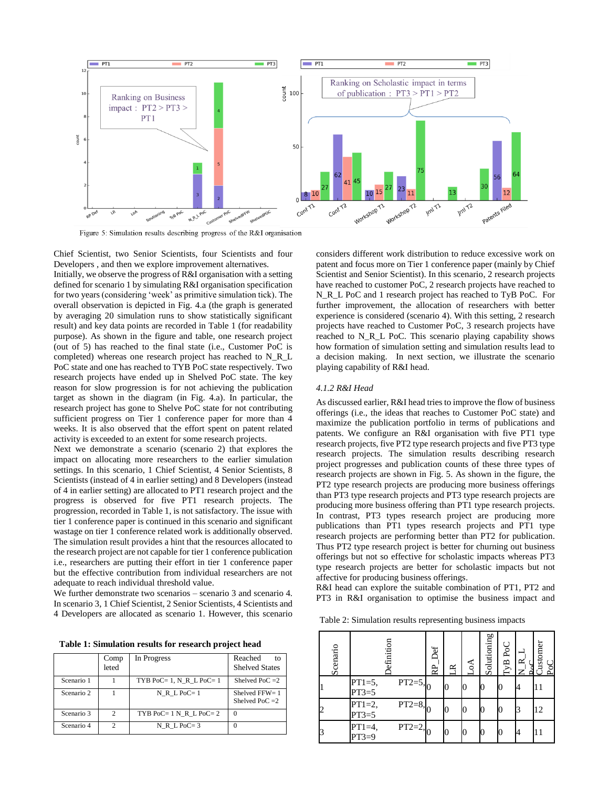

Figure 5: Simulation results describing progress of the R&I organisation

Chief Scientist, two Senior Scientists, four Scientists and four Developers , and then we explore improvement alternatives.

Initially, we observe the progress of R&I organisation with a setting defined for scenario 1 by simulating R&I organisation specification for two years (considering 'week' as primitive simulation tick). The overall observation is depicted in Fig. 4.a (the graph is generated by averaging 20 simulation runs to show statistically significant result) and key data points are recorded in Table 1 (for readability purpose). As shown in the figure and table, one research project (out of 5) has reached to the final state (i.e., Customer PoC is completed) whereas one research project has reached to N\_R\_L PoC state and one has reached to TYB PoC state respectively. Two research projects have ended up in Shelved PoC state. The key reason for slow progression is for not achieving the publication target as shown in the diagram (in Fig. 4.a). In particular, the research project has gone to Shelve PoC state for not contributing sufficient progress on Tier 1 conference paper for more than 4 weeks. It is also observed that the effort spent on patent related activity is exceeded to an extent for some research projects.

Next we demonstrate a scenario (scenario 2) that explores the impact on allocating more researchers to the earlier simulation settings. In this scenario, 1 Chief Scientist, 4 Senior Scientists, 8 Scientists (instead of 4 in earlier setting) and 8 Developers (instead of 4 in earlier setting) are allocated to PT1 research project and the progress is observed for five PT1 research projects. The progression, recorded in Table 1, is not satisfactory. The issue with tier 1 conference paper is continued in this scenario and significant wastage on tier 1 conference related work is additionally observed. The simulation result provides a hint that the resources allocated to the research project are not capable for tier 1 conference publication i.e., researchers are putting their effort in tier 1 conference paper but the effective contribution from individual researchers are not adequate to reach individual threshold value.

We further demonstrate two scenarios – scenario 3 and scenario 4. In scenario 3, 1 Chief Scientist, 2 Senior Scientists, 4 Scientists and 4 Developers are allocated as scenario 1. However, this scenario

**Table 1: Simulation results for research project head**

|            | Comp<br>leted | In Progress                   | Reached<br>10 <sub>1</sub><br><b>Shelved States</b> |
|------------|---------------|-------------------------------|-----------------------------------------------------|
| Scenario 1 |               | TYB PoC= $1$ , N R L PoC= $1$ | Shelved PoC $=2$                                    |
| Scenario 2 |               | $N$ R $L$ PoC= 1              | Shelved $FFW = 1$<br>Shelved PoC $=2$               |
| Scenario 3 | $\mathcal{D}$ | TYB PoC= $1 N R L P_0C = 2$   | $\Omega$                                            |
| Scenario 4 | っ             | $N$ R $L$ PoC= 3              | $\Omega$                                            |

considers different work distribution to reduce excessive work on patent and focus more on Tier 1 conference paper (mainly by Chief Scientist and Senior Scientist). In this scenario, 2 research projects have reached to customer PoC, 2 research projects have reached to N\_R\_L PoC and 1 research project has reached to TyB PoC. For further improvement, the allocation of researchers with better experience is considered (scenario 4). With this setting, 2 research projects have reached to Customer PoC, 3 research projects have reached to N\_R\_L PoC. This scenario playing capability shows how formation of simulation setting and simulation results lead to a decision making. In next section, we illustrate the scenario playing capability of R&I head.

#### *4.1.2 R&I Head*

As discussed earlier, R&I head tries to improve the flow of business offerings (i.e., the ideas that reaches to Customer PoC state) and maximize the publication portfolio in terms of publications and patents. We configure an R&I organisation with five PT1 type research projects, five PT2 type research projects and five PT3 type research projects. The simulation results describing research project progresses and publication counts of these three types of research projects are shown in Fig. 5. As shown in the figure, the PT2 type research projects are producing more business offerings than PT3 type research projects and PT3 type research projects are producing more business offering than PT1 type research projects. In contrast, PT3 types research project are producing more publications than PT1 types research projects and PT1 type research projects are performing better than PT2 for publication. Thus PT2 type research project is better for churning out business offerings but not so effective for scholastic impacts whereas PT3 type research projects are better for scholastic impacts but not affective for producing business offerings.

R&I head can explore the suitable combination of PT1, PT2 and PT3 in R&I organisation to optimise the business impact and

Table 2: Simulation results representing business impacts

| Scenario |                     | efinition  | Jef<br>RP | ≃ | $\mathcal{A}_{\rm O}$ | Solutioning | TyB PoC | <b>Justomer</b><br>PoC |
|----------|---------------------|------------|-----------|---|-----------------------|-------------|---------|------------------------|
|          | $PT1=5,$<br>$PT3=5$ | $PT2=5,$   |           |   |                       |             |         | 11                     |
|          | $PT1=2,$<br>$PT3=5$ | $PT2=8, 0$ |           |   |                       |             |         | 12                     |
|          | PT1=4,<br>PT3=9     | $PT2=2, 0$ |           |   |                       |             |         | 11                     |